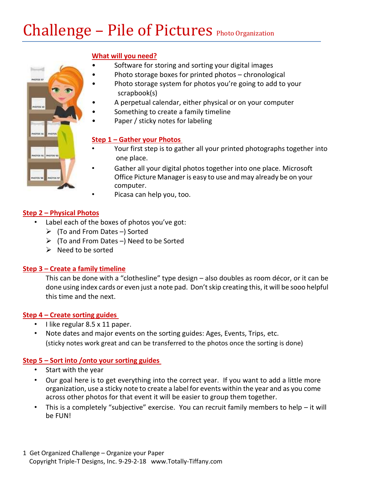# Challenge – Pile of Pictures Photo Organization

#### **What will you need?**

- Software for storing and sorting your digital images
- Photo storage boxes for printed photos chronological
- Photo storage system for photos you're going to add to your scrapbook(s)
- A perpetual calendar, either physical or on your computer
- Something to create a family timeline
- Paper / sticky notes for labeling

#### **Step 1 – Gather your Photos**

- Your first step is to gather all your printed photographs together into one place.
- Gather all your digital photos together into one place. Microsoft Office Picture Manager is easy to use and may already be on your computer.
	- Picasa can help you, too.

#### **Step 2 – Physical Photos**

- Label each of the boxes of photos you've got:
	- ➢ (To and From Dates –) Sorted
	- $\triangleright$  (To and From Dates –) Need to be Sorted
	- ➢ Need to be sorted

#### **Step 3 – Create a family timeline**

This can be done with a "clothesline" type design – also doubles as room décor, or it can be done using index cards or even just a note pad. Don't skip creating this, it will be sooo helpful this time and the next.

#### **Step 4 – Create sorting guides**

- I like regular 8.5 x 11 paper.
- Note dates and major events on the sorting guides: Ages, Events, Trips, etc. (sticky notes work great and can be transferred to the photos once the sorting is done)

#### **Step 5 – Sort into /onto your sorting guides**

- Start with the year
- Our goal here is to get everything into the correct year. If you want to add a little more organization, use a sticky note to create a label for events within the year and as you come across other photos for that event it will be easier to group them together.
- This is a completely "subjective" exercise. You can recruit family members to help  $-$  it will be FUN!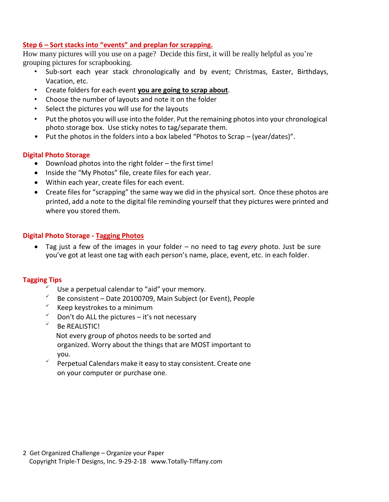#### **Step 6 – Sort stacks into "events" and preplan for scrapping.**

How many pictures will you use on a page? Decide this first, it will be really helpful as you're grouping pictures for scrapbooking.

- Sub-sort each year stack chronologically and by event; Christmas, Easter, Birthdays, Vacation, etc.
- Create folders for each event **you are going to scrap about**.
- Choose the number of layouts and note it on the folder
- Select the pictures you will use for the layouts
- Put the photos you will use into the folder. Put the remaining photos into your chronological photo storage box. Use sticky notes to tag/separate them.
- Put the photos in the folders into a box labeled "Photos to Scrap (year/dates)".

#### **Digital Photo Storage**

- Download photos into the right folder the first time!
- Inside the "My Photos" file, create files for each year.
- Within each year, create files for each event.
- Create files for "scrapping" the same way we did in the physical sort. Once these photos are printed, add a note to the digital file reminding yourself that they pictures were printed and where you stored them.

#### **Digital Photo Storage - Tagging Photos**

• Tag just a few of the images in your folder – no need to tag *every* photo. Just be sure you've got at least one tag with each person's name, place, event, etc. in each folder.

#### **Tagging Tips**

- Use a perpetual calendar to "aid" your memory.
- Be consistent Date 20100709, Main Subject (or Event), People
- Keep keystrokes to a minimum
- Don't do ALL the pictures  $-$  it's not necessary
- Be REALISTIC! Not every group of photos needs to be sorted and organized. Worry about the things that are MOST important to you.
- $\checkmark$  Perpetual Calendars make it easy to stay consistent. Create one on your computer or purchase one.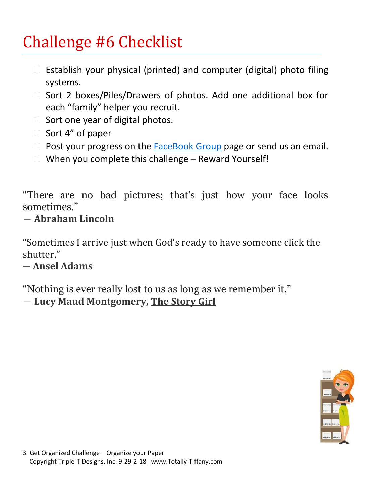# Challenge #6 Checklist

- $\Box$  Establish your physical (printed) and computer (digital) photo filing systems.
- $\Box$  Sort 2 boxes/Piles/Drawers of photos. Add one additional box for each "family" helper you recruit.
- $\Box$  Sort one year of digital photos.
- $\Box$  Sort 4" of paper
- $\Box$  Post your progress on the [FaceBook Group](https://www.facebook.com/groups/2011GetOrgChallenge/) page or send us an email.
- $\Box$  When you complete this challenge Reward Yourself!

"There are no bad pictures; that's just how your face looks sometimes."

## ― **Abraham Lincoln**

"Sometimes I arrive just when God's ready to have someone click the shutter."

## ― **Ansel Adams**

"Nothing is ever really lost to us as long as we remember it."

― **Lucy Maud Montgomery, [The Story Girl](https://www.goodreads.com/work/quotes/1161931)**

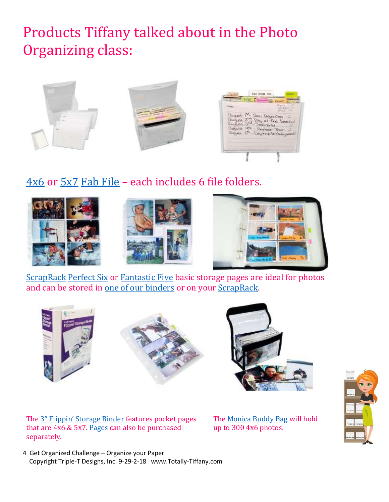## Products Tiffany talked about in the Photo Organizing class:



## $4x6$  or  $5x7$  [Fab File](https://www.totally-tiffany.com/product-category/fab-files-organize-your-paper-crafting-supplies/) – each includes 6 file folders.











The [3" Flippin' Storage Binder](https://www.totally-tiffany.com/product/stamp-storage-binder/) features pocket pages that are 4x6 & 5x7. [Pages](https://www.totally-tiffany.com/product/4x6-5x7-craft-storage-solution/) can also be purchased separately.

The [Monica Buddy Bag](https://www.totally-tiffany.com/product/inks-4x6-embossing-folders-cards-monica-organizer/) will hold up to 300 4x6 photos.

4 Get Organized Challenge – Organize your Paper Copyright Triple-T Designs, Inc. 9-29-2-18 www.Totally-Tiffany.com